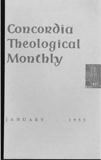# **Concordia Theological Monthly**



JANUARY · 1955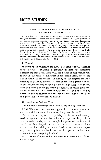# **BRIEF STUDIES**

## CRITIQUE OF THE REVISED STANDARD VERSION OF THE EPISTLE OF ST. JAMES

(At the direction of the Houston Convention the Board for Parish Education has again appointed a committee whose special concern is to give guidance to the church regarding modern versions of the Bible. Professor Franzmann, a member of this committee, has prepared this article on the basis of study material presented at a recent meeting of this group. The committee urged its publication for two reasons. It is to be in the nature of a report on the work carried on by the committee. Since it deals with a short book of the Bible, the whole study could be published here. In the second place, the hope was expressed that it might serve as a pattern or guide for similar studies which pastoral conferences or individuals might undertake and forward to the committee, Rev. O. E. Feucht, Secretary. - ED.)

### 1. *General*

In clarity and intelligibility the Revised Standard Version rendering of the Epistle of St. James is generally excellent; the difficulties a present-day reader will have with the Epistle in this version will be due, in the main, to difficulties in the Epistle itself, not to any lack of clarity in the version. In fidelity to the original the RSV rendering is generally superior to that of the King James Version. In oral quality the version must be ranked high also; it reads well aloud, and there is no tongue-twisting roughness. It should serve well for public reading. In connection with the idea of public reading it may be well to mention that the version rates high on the score of dignity also; it never sinks to banality.

### **II.** *Criticism on Stylistic Grounds*

The following renderings strike one as stylistically dubious:

1:7,8: "For that person must not suppose that a double-minded man, unstable in all his ways, will receive anything from the Lord."

This is smooth English and probably to the twentieth-century-*Reader's-Digest* sort of taste, but it loses the impact of the peculiarly Jacobean style. Goodspeed, for example, has preserved this feature of James' style (the delayed and therefore unexpected hammer blow) without loss of readability or clarity: "Such a man must not expect to get anything from the Lord - an irresolute person like him, who is uncertain about everything he does."

1: 17: "Father of lights *with* whom there is no variation or *shadow*  due to change."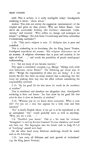with: This is archaic; is it really intelligible today? Goodspeed's rendering is better: "about whom."

*shadow:* This does not convey the suggestion (astronomical) of the original and gives no clear picture. Why not follow Bauer: *"eine*  durch die wechselnde Stellung (der Gestirne) eintretende Verfin*sterung,"* and translate: "Who suffers no change and undergoes no eclipse"? or Menge: *"Bei dem keine Veranderung und keine zeitweilige Verdunkelung stattjindet"?* 

1: 26: "This man's *religion* is vain. 27. *Religion* that is pure and undefiled. . . ."

This is misleading in its literalness, like the King James' Version. Goodspeed reproduces the nuance: "His *religious observances* are of no account. A *religious observance* that is pure and stainless in the sight of God . . .," and avoids the possibility of purely social-gospel understanding.

3: 1: "Let not many of you become teachers."

This again is overliteral; compare, e.g., Menge: "Drängt euch nicht zum Lehreramt, meine Brüder!" The following *gar* clause says, in effect: "Weigh the responsibility of what you are doing." It is not merely the fact that there are many teachers that is alarming, but that many are pushing their way into the office without considering the responsibility involved.

3: 13: "By his good life let him show *his works in the meekness of wisdom."* 

This is overliteral and therefore not altogether clear. Goodspeed's rendering is freer and better: "Let him show by his good life *that what he does is done in humility of wisdom."* 

4: 14: "Whereas you do not know about tomorrow. What is your life? *For* you are a mist that appears for a little time and then vanished."

"For" is hardly English idiom; if the *gar* is to be reproduced at all, an unemphatic "why" would probably serve as well as anything: "Why, you are a mist. . . ."

5: 8: *"Establish* your hearts." This is a bit tame for *sterixate.*  "Strengthen" is used by Revised Standard Version elsewhere and would suit here, too. The Septuagint uses the Greek verb in Judg. 19:5,8 of "fortifying" oneself with food.

**On** the other hand many felicitous renderings should be noted, such as the following:

1:21: "put away all filthiness and rank growth of wickedness" (cp. the King James Version).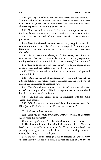2: 3: "you *pay attention* to the one who wears the fine clothing." The Revised Standard Version *is* no more free in its translation here than the King James Version and successfully modernizes the now obsolete expression of the King James Version.

2:14: "Can *his* faith save him?'" This is a vast improvement over the King James Version, which ignores the definite article with "faith."

2:15: "Ill-clad" instead of the literal "naked." This is an improvement.

2: 18: Here the Revised Standard Version very happily retains the emphatic position which "faith" has in the original: "Show me your faith apart from your works, and I by my works will show you my *faith."* 

2: 20: "Do you *want to be shown,* you foolish fellow, that faith apart from works is barren?" "Want to be shown" successfully reproduces the ingressive aorist of the original: "come to know," "get to know."

3: 7: "Can be tamed and has been tamed" is a happy reproduction of the present and the perfect tenses in the original.

3: 17: "Without uncertainty or insincerity" is as neat and pointed as the original.

3:18: "And the harvest of righteousness" - the word "harvest" is a happy substitute for "fruit," since it indicates that the word fruit is used in an anticipatory or proleptic way.

4:4: "Therefore whoever wishes to be a friend of the world *makes himself* an enemy of God." This is perhaps somewhat overtranslated but the best one can do in English.

5: 13: "Let him sing praise" is an improvement over the King James "sing psalms."

5: 17: "Of like nature with ourselves" is an improvement over the King James Version's "subject to like passions as we are."

III. *Criticism of Interpretation* 

2:4: "Have you not *made distinctions among yourselves* and become judges with evil thoughts?"

This rendering does not fit either the situation or the context:

1. The situation does not deal with distinctions within the Christian brotherhood, but with the attitude of the Christian brotherhood corporately over against visitors in their place of assembly, who are distinguished only as rich and poor.

2. As for the context, James goes on to reproach his readers with the fact that they do not look upon men with the eyes of  $God (v. 5)$ ;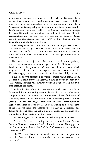in despising the poor and fawning on the rich the Christians have denied their divine Father and their own divine sonship (1:18); they have involved themselves in a self-contradiction, they have "wavered," as Goodspeed puts it; they are not being what they by God's bringing forth are (1:18). The German translators, Menge, Le Seur, Rendtorff, all reproduce the verb with the idea of selfcontradiction, and this suits well also with the insistence of James on the wholeheartedness and "perfection" of the Christian and his polemics against the two-souled man.

2:7: "Blaspheme that honorable name by which you are called?" This can hardly be right. The participle "called" is an aorist, and the allusion is to the fact that this name was pronounced over them at some definite moment in their lives; it is perhaps a reference to their baptism.

The name is an object of blasphemy; it is therefore probably a sacred name rather than some designation of the Christian brotherhood; it is more likely that the rich would call them by a name which they, the rich, deemed in itself derogatory than that a name which the Christians apply to themselves should be ill-spoken of by the rich.

2:22: "Faith was completed by works." James' whole argument is, not that faith must receive an addition, a *plus* of works, but that faith "has" works, includes and involves works in itself, or it is no faith that deserves the name.

Linguistically the verb *teleioo* does not necessarily mean completion by the addition of something hitherto lacking in a quantitative sense; compare John 18:28, where the verb is used of the fulfillment of something written in the Scriptures. A freer rendering such as Goodspeed's is, in the last analysis, more accurate here: "Faith found its highest expression in good deeds." It is interesting to note that men as far removed from one another theologically as Goodspeed and Ropes on the one hand and the German Rendtorff on the other hand are united in this rendering of the passage.

3: 6: "The tongue *is* an unrighteous world among our members .... "

"Is" is a rather tame rendering for the verb which the Revised Standard Version translates as "makes himself" in 4:4. The suggestion of Ropes in the *International Critical Commentary* is excellent: "presents itself."

5: 11: "You have heard of the steadfastness of Job, and you have seen the *purpose* of the Lord, how the Lord is compassionate and merciful."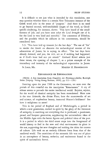52 BRIEF STUDIES

It is difficult to see just what is intended by this translation; one may question whether there is a certain New Testament instance of the Greek word *telos* in the sense of "purpose." And there is no need to go beyond normal, well-established usages of the word, as Goodspeed's rendering, for instance, shows: "You have heard of the steadfastness of Job, and you have seen *what the Lord brought out of it,*  for the Lord is very kind and merciful." The comments of Dibelius, and the parallels which he adduces in his commentary, should be considered here.

5: 3: "You have laid up treasure *for* the last days." The use of "for" to render the Greek *en* obscures the eschatological tension of the admonition of James; he is saying, in effect: "The last days have already dawned; and you, the rich, act as if nothing had happened, as if God's hour had not yet struck!" Gerhard Kittel selects just these verses, the opening of chapter 5, as a prime example of the immediacy and intensity of the eschatological expectation in James.

### St. Louis, Mo. MARTIN H. FRANZMANN

### RENAISSANCE OR REFORMATION

(NOTE: A free translation from *Grundrisz der Kirchengeschichte,* Rudolph Sohm [Leipzig: Verlag Georg Boehme, 1890], pp. 122-128.)

Entering upon the year 1500 in the Germanies, we note over the portals of this eventful era the inscription "Renaissance." A cry of release seems to pervade the entire intellecmal world. Rejoice, rejoice, for the world of classical antiquity has been reawakened. Here now is the true Aristotle, the divine Plato; here the masterworks of art and science, of resplendent beauty, immortal Homer's brilliance! See how it enlightens us anew!

This is the period of Raphael and of Michelangelo, a period in which a new generation, exalted in spirit by the glory of the literature of antiquity, is searching out everything that is profound; a passionate, proud, and buoyant generation, supplanting the universalistic ideas of the Middle Ages with the heroic figures and political ideas of the past. It is a period in which the third estate steps into the foreground of world history to find in the new and vital environment its place in the sun, supporting the new thoughts and making the cities the centers of culture. Life took on an entirely different form from that of the medieval world. The asceticism of the monastic life was out of place in an atmosphere of beauty, esthetics, and excitement found in the spirit of nationalistic fervor.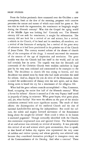From the Italian peninsula there emanated over the Occident a new atmosphere, fresh as the dew of the morning, pregnant with creative processes the nature and extent of which man could but guess at. But was this in ttuth the regeneration, the renaissance so longingly sought during the fifteenth century? Was this the Gospel the aging world of the Middle Ages was looking for? Certainly not. The fifteenth century did not seek for renaissance; it sought for reformation. The century did not look for a revival of art and science, but a revival, a rebirth in the Church, of its head and its members, all members; not a revival of the literature of antiquity, but a revival of the great story of salvation as it had been proclaimed in the pristine era of the Church of Jesus Christ. The century wanted reform of the abuses of church life, of the cortuption of the clergy. It wanted uncovered the treasures of the sources of the age of inspiration and revelation. The great trouble was that the Church had lost itself in the world, and its salt had certainly lost its savor. The tragedy was that the demands and commands of the Christian Church were trodden underfoot **in** large part by the very men ordained and consecrated to be examples to the flock. The decadence in church life was crying to heaven, and this decadence was sensed most by those who had made articulate the need for reform. And so, despite the *joie de vivre* of the Renaissance, there is noted the undercurrent of dismay over the new spirit, and **in** thundering notes is heard the cry for a renaissance of the religious life.

What had the great reform councils accomplished - Pisa, Constance, Basel, occupying the entire first half of the fifteenth century? What a fervor for reform! Almost it seemed as if the very Papacy itself stood **in** jeopardy of losing its existence. What great hopes, what great plans, and, yet, what futility! Nor were the efforts on the part of the secular authorities crowned with more significant success. The result of their efforts: the disintegration of the medieval Church and the rise of national *Landeskirchen* striving for independence. But could the culture, the subtle and mighty forward movement of the Renaissance bring about the sought-for reform? How could it when in its bosom it nurtured paganism! Though outwardly identified with the Church, this movement emphasized man and ignored Christ. The Renaissance of art and science was certainly no revival of morality. It was precisely this revival of art and science which gave ammunition, thus to speak, to that breed of Italian city regents who represented the very acme of ruthless and violent tyranny and whose geniality was achieved only because they considered themselves privileged to transgress every one of the Commandments of the Decalog. And what a contrast! These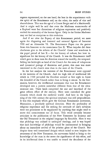regents represented, on the one hand, the best in the acquaintance with the spirit of the Renaissance and, on the other, the nadir of vice and shamefulness. This was the age of a Cesare Borgia and of a Machiavelli. And it might well be said that even the Madonna masterworks of a Raphael were but distortions of religious expression and positively exalted the sensuality of the human figure. Only in the Sistine Madonna may we find an exception to this evalution.

And if we view the Papacy of this Renaissance period, we meet again the disgusting and immoral and unmoral figures of Innocent VIII and an Alexander VI. The Renaissance Popes run the gamut from this Innocent to the connoisseur Leo X. What impulse did these charlatans give to the reform of the Church? Great and wondrous is the papal period of Leo  $X$ —for the history of culture, but how insignificant for the history of the Church. It was the Renaissance itself which gave to these men the direction toward the worldly, the temporal. Selling his birthright as head of the Church for the mess of voluptuous and tyrannical pottage of dominion and power, this man was more interested in the church state than in the state of the Church.

In the last analysis the interests of the Renaissance were opposed to the interests of the Church. And the high tide of intellectual life which in 1500 pervaded the Occident seemed at first sight to foster the downfall of the Church rather than to bring it rescue. In the Germanies, however, the intellectual movement that was the Renaissance developed into a pattern somewhat different from that of the ultramontane one. These lands comprised the seat and heartland of the great reform effort of the century. Here were convoked the great councils which shook the medieval world. And here in the beginning of the 16th century the spiritual emphasis was still preponderant. It was this emphasis which gave the German Renaissance movement, Humanism, a peculiarly spiritual direction. Here the profundity of religious experience and the seeking for certitude of one's salvation were too prominent to be supplanted by anything that might tend to move this consciousness out of focus. This trend certainly became articulate in the publication of the New Testament by Erasmus and the Old Testament in the original languages by Reuchlin. Here it was that philology was utilized to undergird theology, and it was hoped that such knowledge of philology would be instrumental in bringing about an immediate revival of the pristine glory of the Church. But despite these well-intentioned designs which raised to new heights the awareness of the New Testament, the movement failed to bring to the knowledge of the man in the street the significance of this effort, and in its intellectual dress it was unable to retard the decadence of the